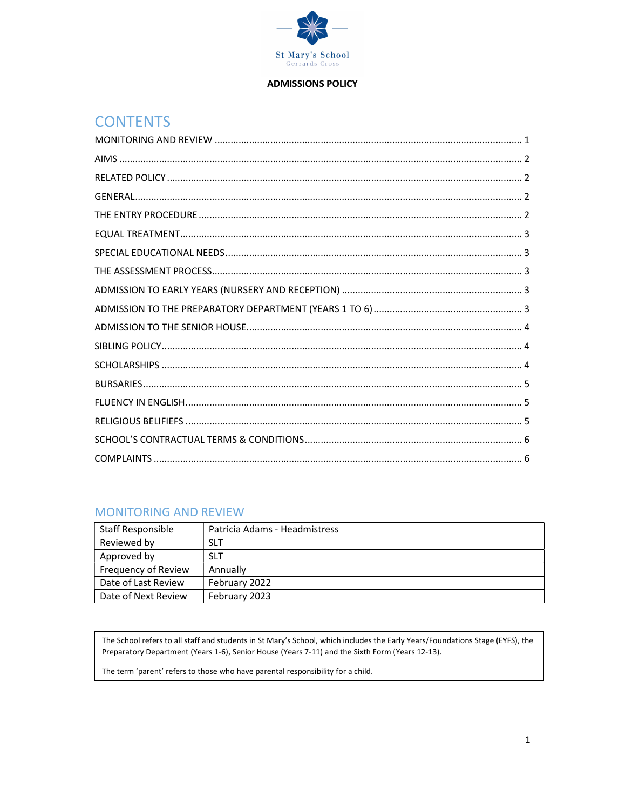

#### **ADMISSIONS POLICY**

# **CONTENTS**

# **MONITORING AND REVIEW**

| Staff Responsible   | Patricia Adams - Headmistress |
|---------------------|-------------------------------|
| Reviewed by         | <b>SLT</b>                    |
| Approved by         | <b>SLT</b>                    |
| Frequency of Review | Annually                      |
| Date of Last Review | February 2022                 |
| Date of Next Review | February 2023                 |

The School refers to all staff and students in St Mary's School, which includes the Early Years/Foundations Stage (EYFS), the Preparatory Department (Years 1-6), Senior House (Years 7-11) and the Sixth Form (Years 12-13).

The term 'parent' refers to those who have parental responsibility for a child.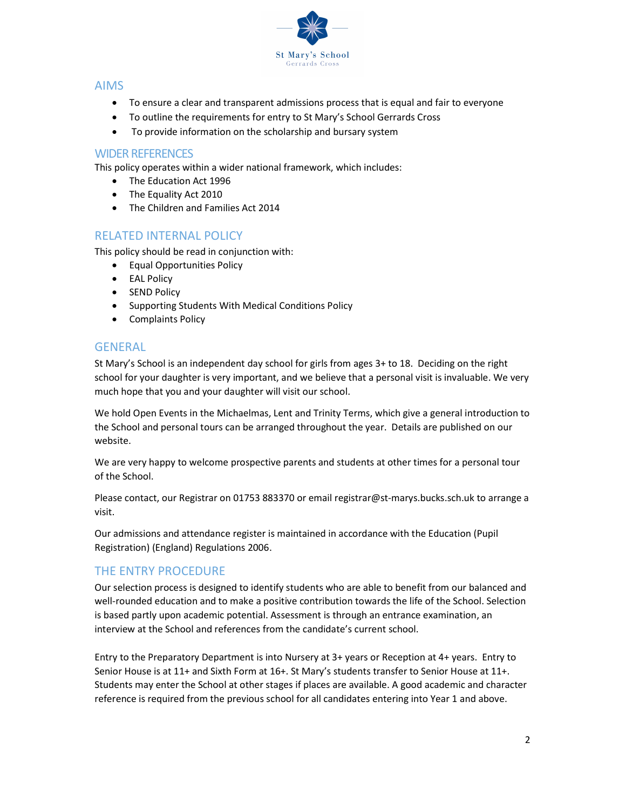

## AIMS

- To ensure a clear and transparent admissions process that is equal and fair to everyone
- To outline the requirements for entry to St Mary's School Gerrards Cross
- To provide information on the scholarship and bursary system

## WIDER REFERENCES

This policy operates within a wider national framework, which includes:

- The Education Act 1996
- The Equality Act 2010
- The Children and Families Act 2014

# RELATED INTERNAL POLICY

This policy should be read in conjunction with:

- Equal Opportunities Policy
- EAL Policy
- SEND Policy
- Supporting Students With Medical Conditions Policy
- Complaints Policy

## **GENERAL**

St Mary's School is an independent day school for girls from ages 3+ to 18. Deciding on the right school for your daughter is very important, and we believe that a personal visit is invaluable. We very much hope that you and your daughter will visit our school.

We hold Open Events in the Michaelmas, Lent and Trinity Terms, which give a general introduction to the School and personal tours can be arranged throughout the year. Details are published on our website.

We are very happy to welcome prospective parents and students at other times for a personal tour of the School.

Please contact, our Registrar on 01753 883370 or email registrar@st-marys.bucks.sch.uk to arrange a visit.

Our admissions and attendance register is maintained in accordance with the Education (Pupil Registration) (England) Regulations 2006.

# THE ENTRY PROCEDURE

Our selection process is designed to identify students who are able to benefit from our balanced and well-rounded education and to make a positive contribution towards the life of the School. Selection is based partly upon academic potential. Assessment is through an entrance examination, an interview at the School and references from the candidate's current school.

Entry to the Preparatory Department is into Nursery at 3+ years or Reception at 4+ years. Entry to Senior House is at 11+ and Sixth Form at 16+. St Mary's students transfer to Senior House at 11+. Students may enter the School at other stages if places are available. A good academic and character reference is required from the previous school for all candidates entering into Year 1 and above.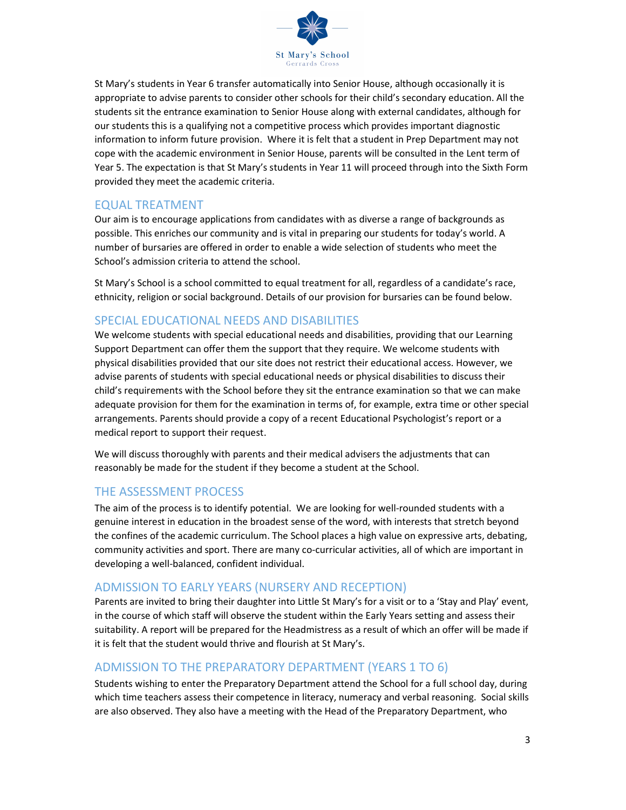

St Mary's students in Year 6 transfer automatically into Senior House, although occasionally it is appropriate to advise parents to consider other schools for their child's secondary education. All the students sit the entrance examination to Senior House along with external candidates, although for our students this is a qualifying not a competitive process which provides important diagnostic information to inform future provision. Where it is felt that a student in Prep Department may not cope with the academic environment in Senior House, parents will be consulted in the Lent term of Year 5. The expectation is that St Mary's students in Year 11 will proceed through into the Sixth Form provided they meet the academic criteria.

## EQUAL TREATMENT

Our aim is to encourage applications from candidates with as diverse a range of backgrounds as possible. This enriches our community and is vital in preparing our students for today's world. A number of bursaries are offered in order to enable a wide selection of students who meet the School's admission criteria to attend the school.

St Mary's School is a school committed to equal treatment for all, regardless of a candidate's race, ethnicity, religion or social background. Details of our provision for bursaries can be found below.

# SPECIAL EDUCATIONAL NEEDS AND DISABILITIES

We welcome students with special educational needs and disabilities, providing that our Learning Support Department can offer them the support that they require. We welcome students with physical disabilities provided that our site does not restrict their educational access. However, we advise parents of students with special educational needs or physical disabilities to discuss their child's requirements with the School before they sit the entrance examination so that we can make adequate provision for them for the examination in terms of, for example, extra time or other special arrangements. Parents should provide a copy of a recent Educational Psychologist's report or a medical report to support their request.

We will discuss thoroughly with parents and their medical advisers the adjustments that can reasonably be made for the student if they become a student at the School.

# THE ASSESSMENT PROCESS

The aim of the process is to identify potential. We are looking for well-rounded students with a genuine interest in education in the broadest sense of the word, with interests that stretch beyond the confines of the academic curriculum. The School places a high value on expressive arts, debating, community activities and sport. There are many co-curricular activities, all of which are important in developing a well-balanced, confident individual.

# ADMISSION TO EARLY YEARS (NURSERY AND RECEPTION)

Parents are invited to bring their daughter into Little St Mary's for a visit or to a 'Stay and Play' event, in the course of which staff will observe the student within the Early Years setting and assess their suitability. A report will be prepared for the Headmistress as a result of which an offer will be made if it is felt that the student would thrive and flourish at St Mary's.

# ADMISSION TO THE PREPARATORY DEPARTMENT (YEARS 1 TO 6)

Students wishing to enter the Preparatory Department attend the School for a full school day, during which time teachers assess their competence in literacy, numeracy and verbal reasoning. Social skills are also observed. They also have a meeting with the Head of the Preparatory Department, who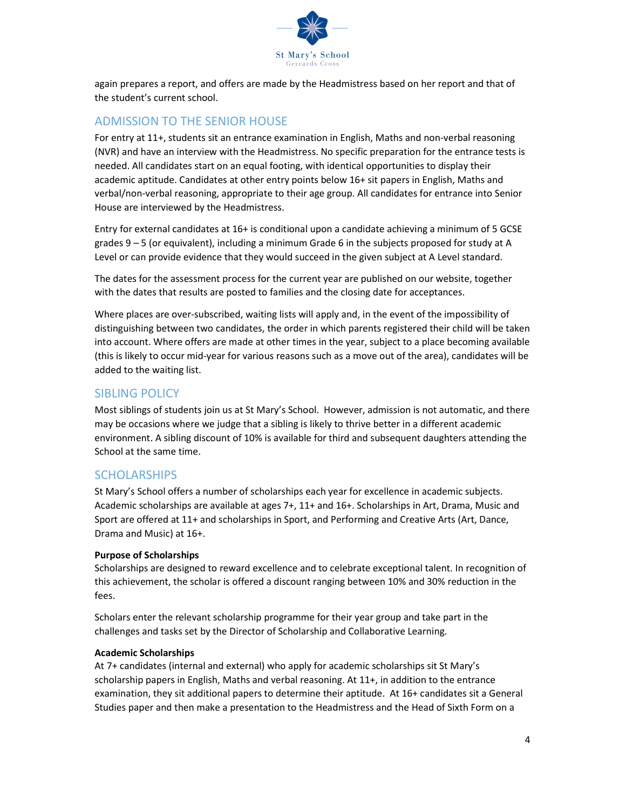

again prepares a report, and offers are made by the Headmistress based on her report and that of the student's current school.

## ADMISSION TO THE SENIOR HOUSE

For entry at 11+, students sit an entrance examination in English, Maths and non-verbal reasoning (NVR) and have an interview with the Headmistress. No specific preparation for the entrance tests is needed. All candidates start on an equal footing, with identical opportunities to display their academic aptitude. Candidates at other entry points below 16+ sit papers in English, Maths and verbal/non-verbal reasoning, appropriate to their age group. All candidates for entrance into Senior House are interviewed by the Headmistress.

Entry for external candidates at 16+ is conditional upon a candidate achieving a minimum of 5 GCSE grades 9 – 5 (or equivalent), including a minimum Grade 6 in the subjects proposed for study at A Level or can provide evidence that they would succeed in the given subject at A Level standard.

The dates for the assessment process for the current year are published on our website, together with the dates that results are posted to families and the closing date for acceptances.

Where places are over-subscribed, waiting lists will apply and, in the event of the impossibility of distinguishing between two candidates, the order in which parents registered their child will be taken into account. Where offers are made at other times in the year, subject to a place becoming available (this is likely to occur mid-year for various reasons such as a move out of the area), candidates will be added to the waiting list.

## SIBLING POLICY

Most siblings of students join us at St Mary's School. However, admission is not automatic, and there may be occasions where we judge that a sibling is likely to thrive better in a different academic environment. A sibling discount of 10% is available for third and subsequent daughters attending the School at the same time.

# **SCHOLARSHIPS**

St Mary's School offers a number of scholarships each year for excellence in academic subjects. Academic scholarships are available at ages 7+, 11+ and 16+. Scholarships in Art, Drama, Music and Sport are offered at 11+ and scholarships in Sport, and Performing and Creative Arts (Art, Dance, Drama and Music) at 16+.

## Purpose of Scholarships

Scholarships are designed to reward excellence and to celebrate exceptional talent. In recognition of this achievement, the scholar is offered a discount ranging between 10% and 30% reduction in the fees.

Scholars enter the relevant scholarship programme for their year group and take part in the challenges and tasks set by the Director of Scholarship and Collaborative Learning.

#### Academic Scholarships

At 7+ candidates (internal and external) who apply for academic scholarships sit St Mary's scholarship papers in English, Maths and verbal reasoning. At 11+, in addition to the entrance examination, they sit additional papers to determine their aptitude. At 16+ candidates sit a General Studies paper and then make a presentation to the Headmistress and the Head of Sixth Form on a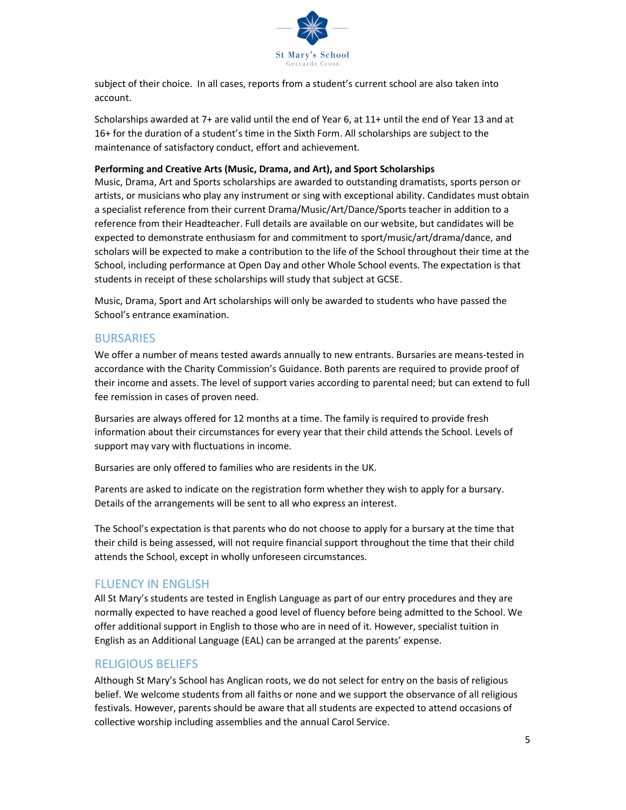

subject of their choice. In all cases, reports from a student's current school are also taken into account.

Scholarships awarded at 7+ are valid until the end of Year 6, at 11+ until the end of Year 13 and at 16+ for the duration of a student's time in the Sixth Form. All scholarships are subject to the maintenance of satisfactory conduct, effort and achievement.

#### Performing and Creative Arts (Music, Drama, and Art), and Sport Scholarships

Music, Drama, Art and Sports scholarships are awarded to outstanding dramatists, sports person or artists, or musicians who play any instrument or sing with exceptional ability. Candidates must obtain a specialist reference from their current Drama/Music/Art/Dance/Sports teacher in addition to a reference from their Headteacher. Full details are available on our website, but candidates will be expected to demonstrate enthusiasm for and commitment to sport/music/art/drama/dance, and scholars will be expected to make a contribution to the life of the School throughout their time at the School, including performance at Open Day and other Whole School events. The expectation is that students in receipt of these scholarships will study that subject at GCSE.

Music, Drama, Sport and Art scholarships will only be awarded to students who have passed the School's entrance examination.

## **BURSARIES**

We offer a number of means tested awards annually to new entrants. Bursaries are means-tested in accordance with the Charity Commission's Guidance. Both parents are required to provide proof of their income and assets. The level of support varies according to parental need; but can extend to full fee remission in cases of proven need.

Bursaries are always offered for 12 months at a time. The family is required to provide fresh information about their circumstances for every year that their child attends the School. Levels of support may vary with fluctuations in income.

Bursaries are only offered to families who are residents in the UK.

Parents are asked to indicate on the registration form whether they wish to apply for a bursary. Details of the arrangements will be sent to all who express an interest.

The School's expectation is that parents who do not choose to apply for a bursary at the time that their child is being assessed, will not require financial support throughout the time that their child attends the School, except in wholly unforeseen circumstances.

## FLUENCY IN ENGLISH

All St Mary's students are tested in English Language as part of our entry procedures and they are normally expected to have reached a good level of fluency before being admitted to the School. We offer additional support in English to those who are in need of it. However, specialist tuition in English as an Additional Language (EAL) can be arranged at the parents' expense.

## RELIGIOUS BELIEFS

Although St Mary's School has Anglican roots, we do not select for entry on the basis of religious belief. We welcome students from all faiths or none and we support the observance of all religious festivals. However, parents should be aware that all students are expected to attend occasions of collective worship including assemblies and the annual Carol Service.